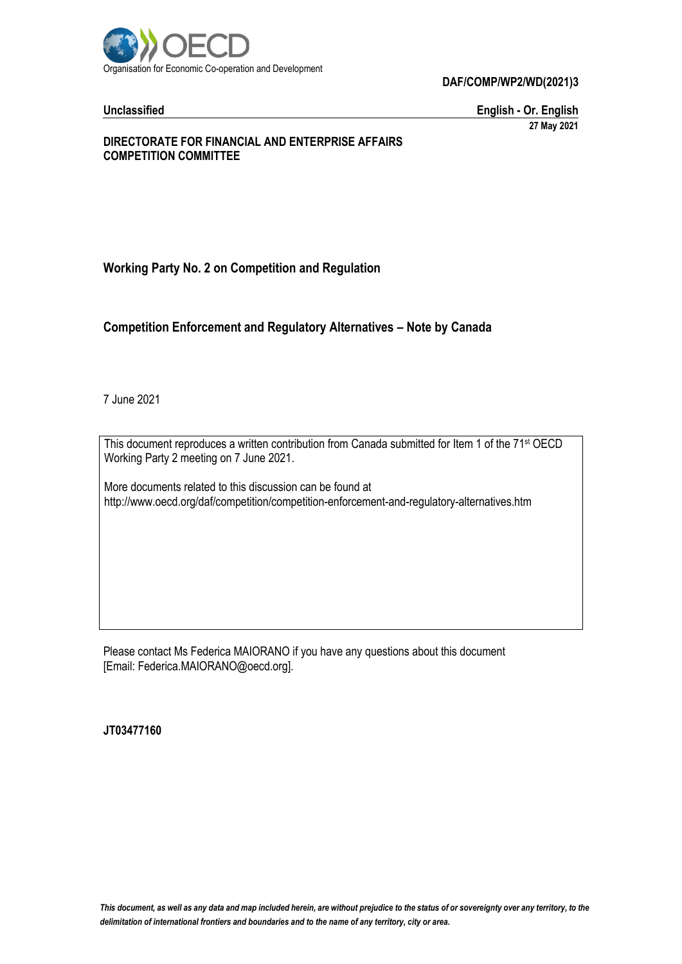

**DAF/COMP/WP2/WD(2021)3**

**Unclassified English - Or. English 27 May 2021**

#### **DIRECTORATE FOR FINANCIAL AND ENTERPRISE AFFAIRS COMPETITION COMMITTEE**

# **Working Party No. 2 on Competition and Regulation**

# **Competition Enforcement and Regulatory Alternatives – Note by Canada**

7 June 2021

This document reproduces a written contribution from Canada submitted for Item 1 of the 71 st OECD Working Party 2 meeting on 7 June 2021.

More documents related to this discussion can be found at http://www.oecd.org/daf/competition/competition-enforcement-and-regulatory-alternatives.htm

Please contact Ms Federica MAIORANO if you have any questions about this document [Email: Federica.MAIORANO@oecd.org].

**JT03477160**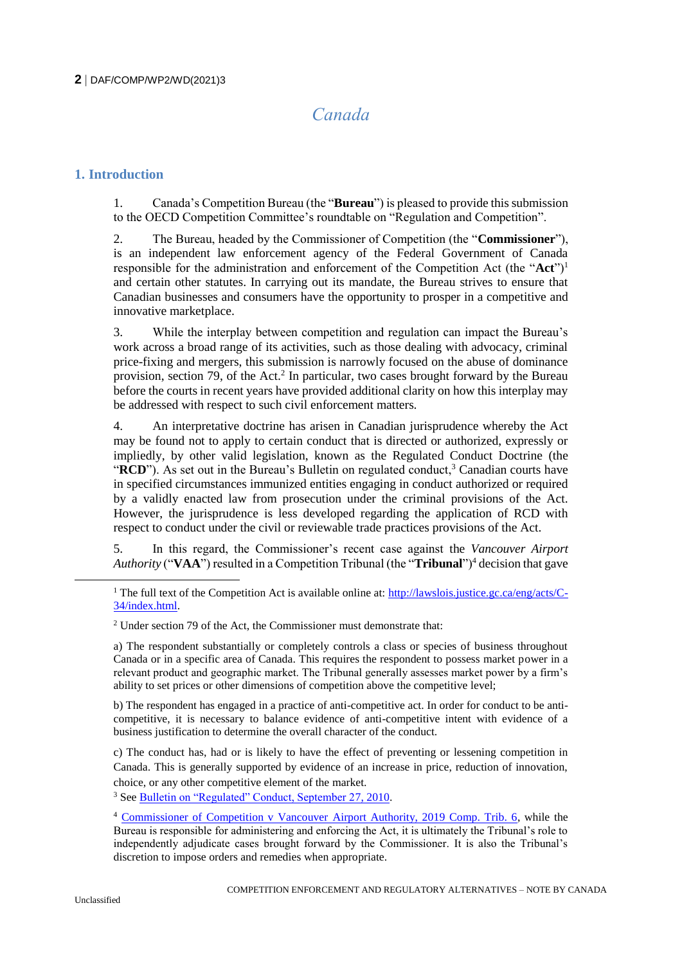# *Canada*

# **1. Introduction**

1. Canada's Competition Bureau (the "**Bureau**") is pleased to provide this submission to the OECD Competition Committee's roundtable on "Regulation and Competition".

2. The Bureau, headed by the Commissioner of Competition (the "**Commissioner**"), is an independent law enforcement agency of the Federal Government of Canada responsible for the administration and enforcement of the Competition Act (the "**Act**")<sup>1</sup> and certain other statutes. In carrying out its mandate, the Bureau strives to ensure that Canadian businesses and consumers have the opportunity to prosper in a competitive and innovative marketplace.

3. While the interplay between competition and regulation can impact the Bureau's work across a broad range of its activities, such as those dealing with advocacy, criminal price-fixing and mergers, this submission is narrowly focused on the abuse of dominance provision, section 79, of the Act.<sup>2</sup> In particular, two cases brought forward by the Bureau before the courts in recent years have provided additional clarity on how this interplay may be addressed with respect to such civil enforcement matters.

4. An interpretative doctrine has arisen in Canadian jurisprudence whereby the Act may be found not to apply to certain conduct that is directed or authorized, expressly or impliedly, by other valid legislation, known as the Regulated Conduct Doctrine (the "**RCD**"). As set out in the Bureau's Bulletin on regulated conduct,<sup>3</sup> Canadian courts have in specified circumstances immunized entities engaging in conduct authorized or required by a validly enacted law from prosecution under the criminal provisions of the Act. However, the jurisprudence is less developed regarding the application of RCD with respect to conduct under the civil or reviewable trade practices provisions of the Act.

5. In this regard, the Commissioner's recent case against the *Vancouver Airport Authority* ("VAA") resulted in a Competition Tribunal (the "**Tribunal**")<sup>4</sup> decision that gave

b) The respondent has engaged in a practice of anti-competitive act. In order for conduct to be anticompetitive, it is necessary to balance evidence of anti-competitive intent with evidence of a business justification to determine the overall character of the conduct.

c) The conduct has, had or is likely to have the effect of preventing or lessening competition in Canada. This is generally supported by evidence of an increase in price, reduction of innovation, choice, or any other competitive element of the market.

<sup>3</sup> See [Bulletin on "Regulated" Conduct, September 27, 2010.](https://www.competitionbureau.gc.ca/eic/site/cb-bc.nsf/eng/03273.html)

 $\overline{a}$ 

<sup>&</sup>lt;sup>1</sup> The full text of the Competition Act is available online at:  $\frac{http://lawslois.justice.gc.ca/eng/acts/C-}$ [34/index.html.](http://lawslois.justice.gc.ca/eng/acts/C-34/index.html)

<sup>2</sup> Under section 79 of the Act, the Commissioner must demonstrate that:

a) The respondent substantially or completely controls a class or species of business throughout Canada or in a specific area of Canada. This requires the respondent to possess market power in a relevant product and geographic market. The Tribunal generally assesses market power by a firm's ability to set prices or other dimensions of competition above the competitive level;

<sup>4</sup> [Commissioner of Competition v Vancouver Airport Authority, 2019 Comp. Trib. 6,](https://decisions.ct-tc.gc.ca/ct-tc/cdo/en/item/465215/index.do) while the Bureau is responsible for administering and enforcing the Act, it is ultimately the Tribunal's role to independently adjudicate cases brought forward by the Commissioner. It is also the Tribunal's discretion to impose orders and remedies when appropriate.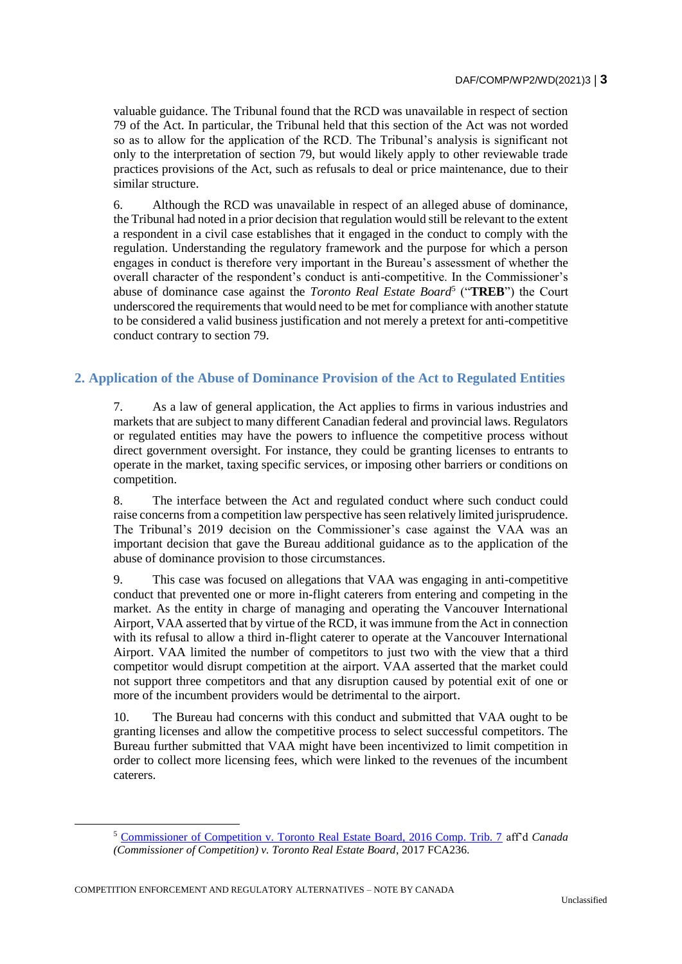valuable guidance. The Tribunal found that the RCD was unavailable in respect of section 79 of the Act. In particular, the Tribunal held that this section of the Act was not worded so as to allow for the application of the RCD. The Tribunal's analysis is significant not only to the interpretation of section 79, but would likely apply to other reviewable trade practices provisions of the Act, such as refusals to deal or price maintenance, due to their similar structure.

6. Although the RCD was unavailable in respect of an alleged abuse of dominance, the Tribunal had noted in a prior decision that regulation would still be relevant to the extent a respondent in a civil case establishes that it engaged in the conduct to comply with the regulation. Understanding the regulatory framework and the purpose for which a person engages in conduct is therefore very important in the Bureau's assessment of whether the overall character of the respondent's conduct is anti-competitive. In the Commissioner's abuse of dominance case against the *Toronto Real Estate Board*<sup>5</sup> ("**TREB**") the Court underscored the requirements that would need to be met for compliance with another statute to be considered a valid business justification and not merely a pretext for anti-competitive conduct contrary to section 79.

# **2. Application of the Abuse of Dominance Provision of the Act to Regulated Entities**

7. As a law of general application, the Act applies to firms in various industries and markets that are subject to many different Canadian federal and provincial laws. Regulators or regulated entities may have the powers to influence the competitive process without direct government oversight. For instance, they could be granting licenses to entrants to operate in the market, taxing specific services, or imposing other barriers or conditions on competition.

8. The interface between the Act and regulated conduct where such conduct could raise concerns from a competition law perspective has seen relatively limited jurisprudence. The Tribunal's 2019 decision on the Commissioner's case against the VAA was an important decision that gave the Bureau additional guidance as to the application of the abuse of dominance provision to those circumstances.

9. This case was focused on allegations that VAA was engaging in anti-competitive conduct that prevented one or more in-flight caterers from entering and competing in the market. As the entity in charge of managing and operating the Vancouver International Airport, VAA asserted that by virtue of the RCD, it was immune from the Act in connection with its refusal to allow a third in-flight caterer to operate at the Vancouver International Airport. VAA limited the number of competitors to just two with the view that a third competitor would disrupt competition at the airport. VAA asserted that the market could not support three competitors and that any disruption caused by potential exit of one or more of the incumbent providers would be detrimental to the airport.

10. The Bureau had concerns with this conduct and submitted that VAA ought to be granting licenses and allow the competitive process to select successful competitors. The Bureau further submitted that VAA might have been incentivized to limit competition in order to collect more licensing fees, which were linked to the revenues of the incumbent caterers.

COMPETITION ENFORCEMENT AND REGULATORY ALTERNATIVES – NOTE BY CANADA

<sup>5</sup> [Commissioner of Competition v. Toronto Real Estate Board, 2016 Comp. Trib. 7](https://decisions.ct-tc.gc.ca/ct-tc/cdo/en/item/462979/index.do) aff'd *Canada (Commissioner of Competition) v. Toronto Real Estate Board*, 2017 FCA236.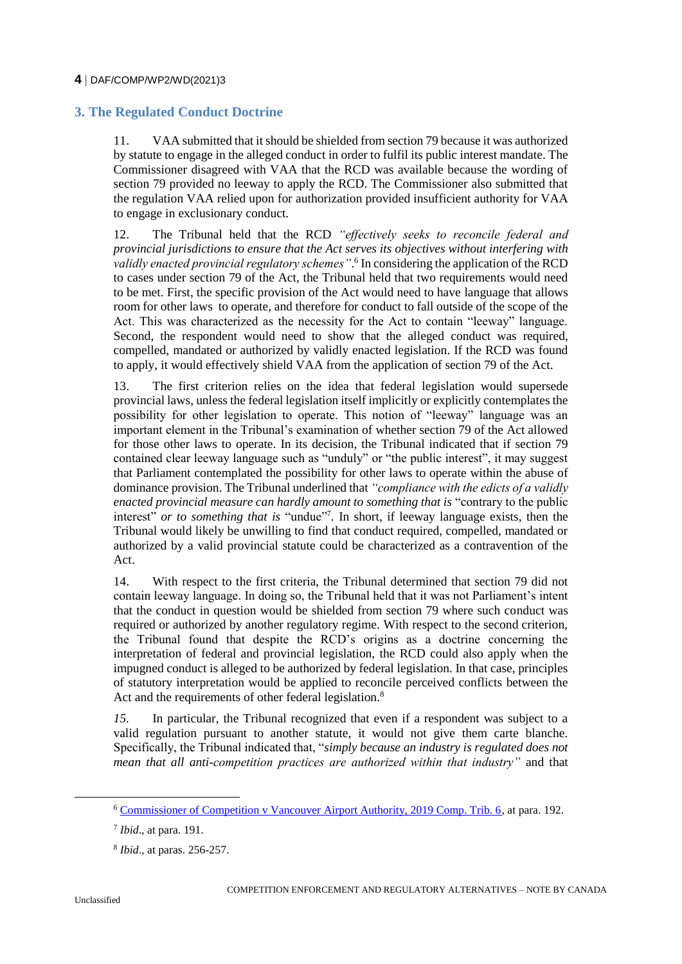# **4** DAF/COMP/WP2/WD(2021)3

# **3. The Regulated Conduct Doctrine**

11. VAA submitted that it should be shielded from section 79 because it was authorized by statute to engage in the alleged conduct in order to fulfil its public interest mandate. The Commissioner disagreed with VAA that the RCD was available because the wording of section 79 provided no leeway to apply the RCD. The Commissioner also submitted that the regulation VAA relied upon for authorization provided insufficient authority for VAA to engage in exclusionary conduct.

12. The Tribunal held that the RCD *"effectively seeks to reconcile federal and provincial jurisdictions to ensure that the Act serves its objectives without interfering with validly enacted provincial regulatory schemes"*. 6 In considering the application of the RCD to cases under section 79 of the Act, the Tribunal held that two requirements would need to be met. First, the specific provision of the Act would need to have language that allows room for other laws to operate, and therefore for conduct to fall outside of the scope of the Act. This was characterized as the necessity for the Act to contain "leeway" language. Second, the respondent would need to show that the alleged conduct was required, compelled, mandated or authorized by validly enacted legislation. If the RCD was found to apply, it would effectively shield VAA from the application of section 79 of the Act.

13. The first criterion relies on the idea that federal legislation would supersede provincial laws, unless the federal legislation itself implicitly or explicitly contemplates the possibility for other legislation to operate. This notion of "leeway" language was an important element in the Tribunal's examination of whether section 79 of the Act allowed for those other laws to operate. In its decision, the Tribunal indicated that if section 79 contained clear leeway language such as "unduly" or "the public interest", it may suggest that Parliament contemplated the possibility for other laws to operate within the abuse of dominance provision. The Tribunal underlined that *"compliance with the edicts of a validly enacted provincial measure can hardly amount to something that is* "contrary to the public interest" *or to something that is* "undue"<sup>7</sup>. In short, if leeway language exists, then the Tribunal would likely be unwilling to find that conduct required, compelled, mandated or authorized by a valid provincial statute could be characterized as a contravention of the Act.

14. With respect to the first criteria, the Tribunal determined that section 79 did not contain leeway language. In doing so, the Tribunal held that it was not Parliament's intent that the conduct in question would be shielded from section 79 where such conduct was required or authorized by another regulatory regime. With respect to the second criterion, the Tribunal found that despite the RCD's origins as a doctrine concerning the interpretation of federal and provincial legislation, the RCD could also apply when the impugned conduct is alleged to be authorized by federal legislation. In that case, principles of statutory interpretation would be applied to reconcile perceived conflicts between the Act and the requirements of other federal legislation.<sup>8</sup>

*15.* In particular, the Tribunal recognized that even if a respondent was subject to a valid regulation pursuant to another statute, it would not give them carte blanche. Specifically, the Tribunal indicated that, "*simply because an industry is regulated does not mean that all anti-competition practices are authorized within that industry"* and that

 $\overline{a}$ 

<sup>6</sup> [Commissioner of Competition v Vancouver Airport Authority, 2019 Comp. Trib. 6,](https://decisions.ct-tc.gc.ca/ct-tc/cdo/en/item/465215/index.do) at para. 192.

<sup>7</sup> *Ibid*., at para. 191.

<sup>8</sup> *Ibid*., at paras. 256-257.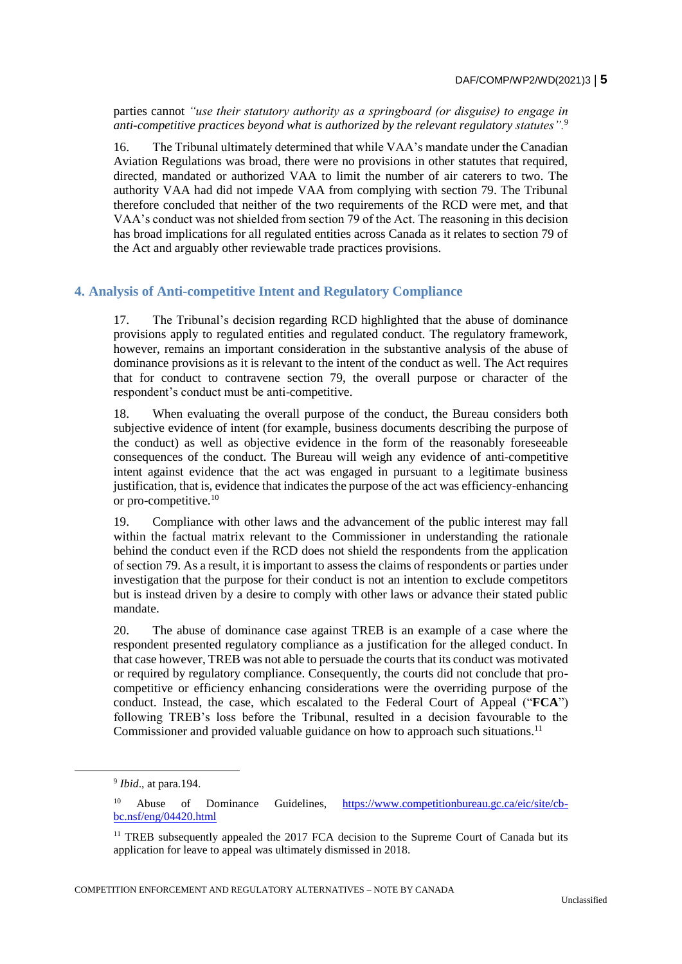#### DAF/COMP/WP2/WD(2021)3 **5**

parties cannot *"use their statutory authority as a springboard (or disguise) to engage in anti-competitive practices beyond what is authorized by the relevant regulatory statutes".*<sup>9</sup>

16. The Tribunal ultimately determined that while VAA's mandate under the Canadian Aviation Regulations was broad, there were no provisions in other statutes that required, directed, mandated or authorized VAA to limit the number of air caterers to two. The authority VAA had did not impede VAA from complying with section 79. The Tribunal therefore concluded that neither of the two requirements of the RCD were met, and that VAA's conduct was not shielded from section 79 of the Act. The reasoning in this decision has broad implications for all regulated entities across Canada as it relates to section 79 of the Act and arguably other reviewable trade practices provisions.

## **4. Analysis of Anti-competitive Intent and Regulatory Compliance**

17. The Tribunal's decision regarding RCD highlighted that the abuse of dominance provisions apply to regulated entities and regulated conduct. The regulatory framework, however, remains an important consideration in the substantive analysis of the abuse of dominance provisions as it is relevant to the intent of the conduct as well. The Act requires that for conduct to contravene section 79, the overall purpose or character of the respondent's conduct must be anti-competitive.

18. When evaluating the overall purpose of the conduct, the Bureau considers both subjective evidence of intent (for example, business documents describing the purpose of the conduct) as well as objective evidence in the form of the reasonably foreseeable consequences of the conduct. The Bureau will weigh any evidence of anti-competitive intent against evidence that the act was engaged in pursuant to a legitimate business justification, that is, evidence that indicates the purpose of the act was efficiency-enhancing or pro-competitive.<sup>10</sup>

19. Compliance with other laws and the advancement of the public interest may fall within the factual matrix relevant to the Commissioner in understanding the rationale behind the conduct even if the RCD does not shield the respondents from the application of section 79. As a result, it is important to assess the claims of respondents or parties under investigation that the purpose for their conduct is not an intention to exclude competitors but is instead driven by a desire to comply with other laws or advance their stated public mandate.

20. The abuse of dominance case against TREB is an example of a case where the respondent presented regulatory compliance as a justification for the alleged conduct. In that case however, TREB was not able to persuade the courts that its conduct was motivated or required by regulatory compliance. Consequently, the courts did not conclude that procompetitive or efficiency enhancing considerations were the overriding purpose of the conduct. Instead, the case, which escalated to the Federal Court of Appeal ("**FCA**") following TREB's loss before the Tribunal, resulted in a decision favourable to the Commissioner and provided valuable guidance on how to approach such situations.<sup>11</sup>

 $\overline{a}$ 

COMPETITION ENFORCEMENT AND REGULATORY ALTERNATIVES – NOTE BY CANADA

<sup>9</sup> *Ibid*., at para.194.

<sup>10</sup> Abuse of Dominance Guidelines, [https://www.competitionbureau.gc.ca/eic/site/cb](https://www.competitionbureau.gc.ca/eic/site/cb-bc.nsf/eng/04420.html)[bc.nsf/eng/04420.html](https://www.competitionbureau.gc.ca/eic/site/cb-bc.nsf/eng/04420.html)

<sup>&</sup>lt;sup>11</sup> TREB subsequently appealed the 2017 FCA decision to the Supreme Court of Canada but its application for leave to appeal was ultimately dismissed in 2018.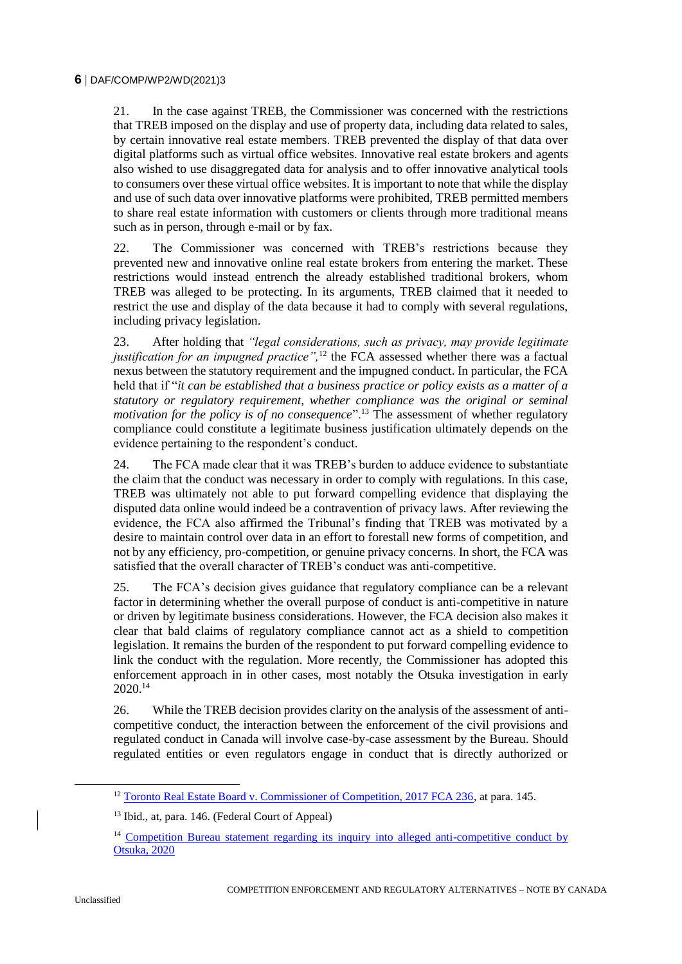21. In the case against TREB, the Commissioner was concerned with the restrictions that TREB imposed on the display and use of property data, including data related to sales, by certain innovative real estate members. TREB prevented the display of that data over digital platforms such as virtual office websites. Innovative real estate brokers and agents also wished to use disaggregated data for analysis and to offer innovative analytical tools to consumers over these virtual office websites. It is important to note that while the display and use of such data over innovative platforms were prohibited, TREB permitted members to share real estate information with customers or clients through more traditional means such as in person, through e-mail or by fax.

22. The Commissioner was concerned with TREB's restrictions because they prevented new and innovative online real estate brokers from entering the market. These restrictions would instead entrench the already established traditional brokers, whom TREB was alleged to be protecting. In its arguments, TREB claimed that it needed to restrict the use and display of the data because it had to comply with several regulations, including privacy legislation.

23. After holding that *"legal considerations, such as privacy, may provide legitimate justification for an impugned practice*",<sup>12</sup> the FCA assessed whether there was a factual nexus between the statutory requirement and the impugned conduct. In particular, the FCA held that if "*it can be established that a business practice or policy exists as a matter of a statutory or regulatory requirement, whether compliance was the original or seminal motivation for the policy is of no consequence*".<sup>13</sup> The assessment of whether regulatory compliance could constitute a legitimate business justification ultimately depends on the evidence pertaining to the respondent's conduct.

24. The FCA made clear that it was TREB's burden to adduce evidence to substantiate the claim that the conduct was necessary in order to comply with regulations. In this case, TREB was ultimately not able to put forward compelling evidence that displaying the disputed data online would indeed be a contravention of privacy laws. After reviewing the evidence, the FCA also affirmed the Tribunal's finding that TREB was motivated by a desire to maintain control over data in an effort to forestall new forms of competition, and not by any efficiency, pro-competition, or genuine privacy concerns. In short, the FCA was satisfied that the overall character of TREB's conduct was anti-competitive.

25. The FCA's decision gives guidance that regulatory compliance can be a relevant factor in determining whether the overall purpose of conduct is anti-competitive in nature or driven by legitimate business considerations. However, the FCA decision also makes it clear that bald claims of regulatory compliance cannot act as a shield to competition legislation. It remains the burden of the respondent to put forward compelling evidence to link the conduct with the regulation. More recently, the Commissioner has adopted this enforcement approach in in other cases, most notably the Otsuka investigation in early 2020.<sup>14</sup>

26. While the TREB decision provides clarity on the analysis of the assessment of anticompetitive conduct, the interaction between the enforcement of the civil provisions and regulated conduct in Canada will involve case-by-case assessment by the Bureau. Should regulated entities or even regulators engage in conduct that is directly authorized or

<sup>&</sup>lt;sup>12</sup> [Toronto Real Estate Board v. Commissioner of Competition, 2017 FCA 236,](https://reports.fja-cmf.gc.ca/fja-cmf/j/en/item/346369/index.do) at para. 145.

<sup>13</sup> Ibid., at, para. 146. (Federal Court of Appeal)

<sup>&</sup>lt;sup>14</sup> Competition Bureau statement regarding its inquiry into alleged anti-competitive conduct by [Otsuka, 2020](https://www.competitionbureau.gc.ca/eic/site/cb-bc.nsf/eng/04524.html)